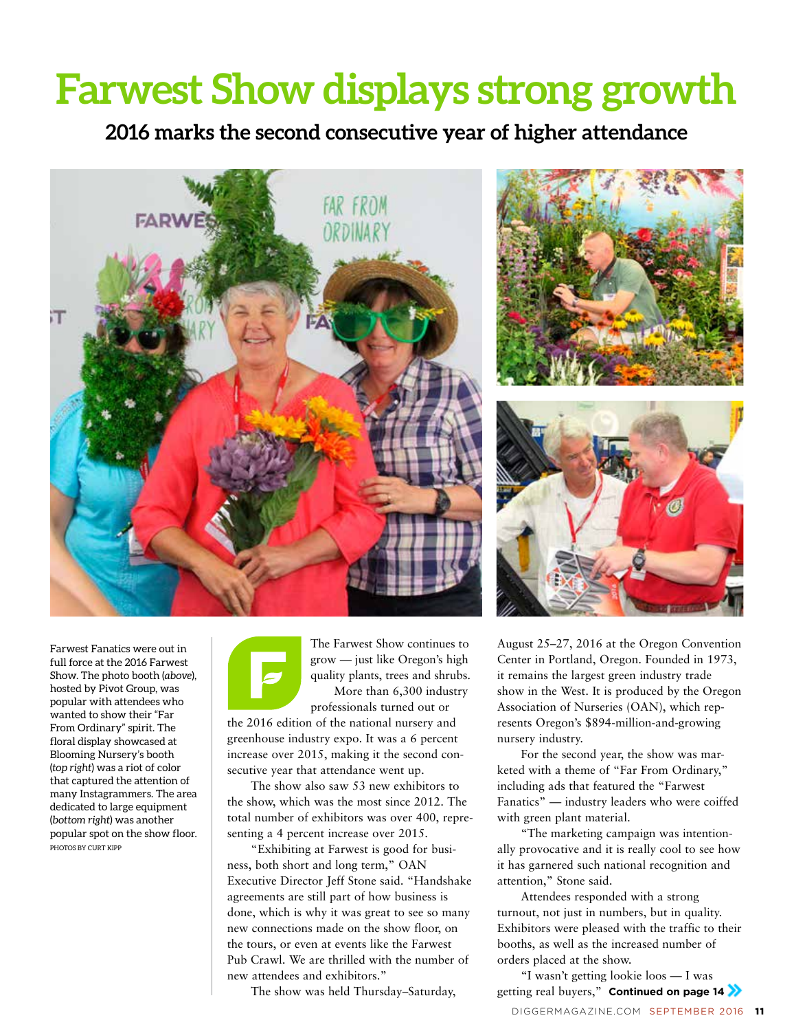## **Farwest Show displays strong growth**

**2016 marks the second consecutive year of higher attendance**







Farwest Fanatics were out in full force at the 2016 Farwest Show. The photo booth (*above*), hosted by Pivot Group, was popular with attendees who wanted to show their "Far From Ordinary" spirit. The floral display showcased at Blooming Nursery's booth (*top right*) was a riot of color that captured the attention of many Instagrammers. The area dedicated to large equipment (*bottom right*) was another popular spot on the show floor. PHOTOS BY CURT KIPP



The Farwest Show continues to grow — just like Oregon's high quality plants, trees and shrubs. More than 6,300 industry

professionals turned out or the 2016 edition of the national nursery and greenhouse industry expo. It was a 6 percent increase over 2015, making it the second consecutive year that attendance went up.

The show also saw 53 new exhibitors to the show, which was the most since 2012. The total number of exhibitors was over 400, representing a 4 percent increase over 2015.

"Exhibiting at Farwest is good for business, both short and long term," OAN Executive Director Jeff Stone said. "Handshake agreements are still part of how business is done, which is why it was great to see so many new connections made on the show floor, on the tours, or even at events like the Farwest Pub Crawl. We are thrilled with the number of new attendees and exhibitors."

The show was held Thursday–Saturday,

August 25–27, 2016 at the Oregon Convention Center in Portland, Oregon. Founded in 1973, it remains the largest green industry trade show in the West. It is produced by the Oregon Association of Nurseries (OAN), which represents Oregon's \$894-million-and-growing nursery industry.

For the second year, the show was marketed with a theme of "Far From Ordinary," including ads that featured the "Farwest Fanatics" — industry leaders who were coiffed with green plant material.

"The marketing campaign was intentionally provocative and it is really cool to see how it has garnered such national recognition and attention," Stone said.

Attendees responded with a strong turnout, not just in numbers, but in quality. Exhibitors were pleased with the traffic to their booths, as well as the increased number of orders placed at the show.

"I wasn't getting lookie loos — I was getting real buyers," **Continued on page 14**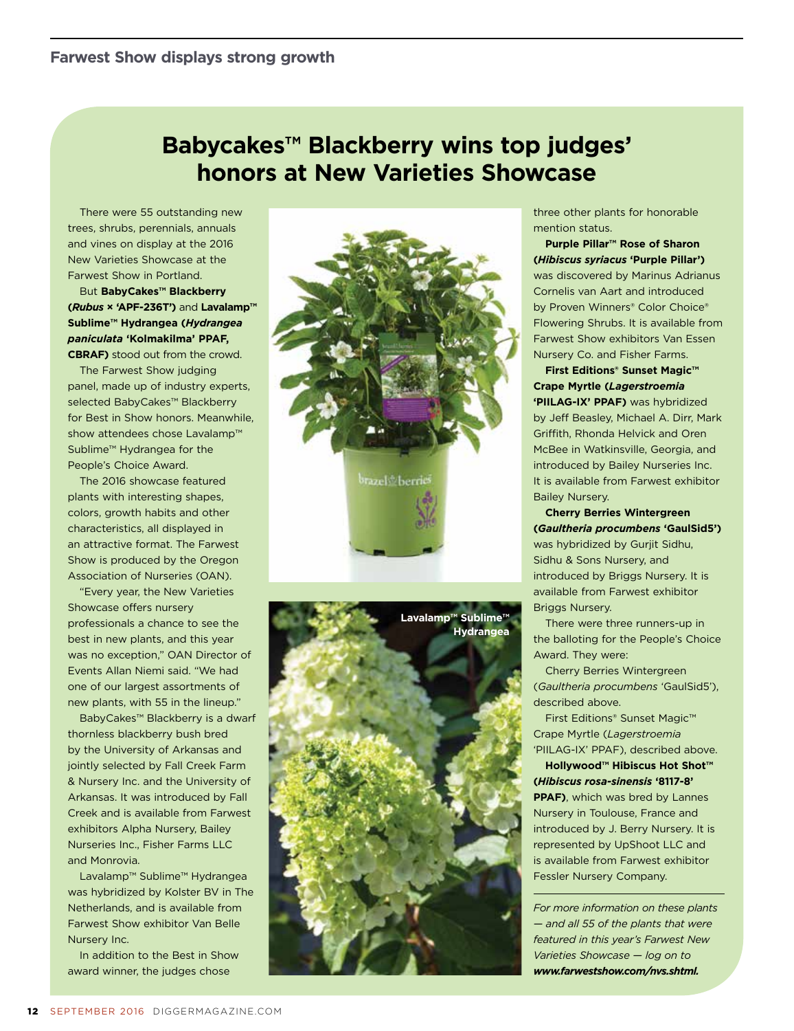### **honors at New Varieties Showcase Babycakes™ Blackberry wins top judges'**

There were 55 outstanding new trees, shrubs, perennials, annuals and vines on display at the 2016 New Varieties Showcase at the Farwest Show in Portland.

But **BabyCakes™ Blackberry (***Rubus* **× 'APF-236T')** and **Lavalamp™ Sublime™ Hydrangea (***Hydrangea paniculata* **'Kolmakilma' PPAF, CBRAF)** stood out from the crowd.

The Farwest Show judging panel, made up of industry experts, selected BabyCakes™ Blackberry for Best in Show honors. Meanwhile, show attendees chose Lavalamp™ Sublime™ Hydrangea for the People's Choice Award.

The 2016 showcase featured plants with interesting shapes, colors, growth habits and other characteristics, all displayed in an attractive format. The Farwest Show is produced by the Oregon Association of Nurseries (OAN).

"Every year, the New Varieties Showcase offers nursery professionals a chance to see the best in new plants, and this year was no exception," OAN Director of Events Allan Niemi said. "We had one of our largest assortments of new plants, with 55 in the lineup."

BabyCakes™ Blackberry is a dwarf thornless blackberry bush bred by the University of Arkansas and jointly selected by Fall Creek Farm & Nursery Inc. and the University of Arkansas. It was introduced by Fall Creek and is available from Farwest exhibitors Alpha Nursery, Bailey Nurseries Inc., Fisher Farms LLC and Monrovia.

Lavalamp™ Sublime™ Hydrangea was hybridized by Kolster BV in The Netherlands, and is available from Farwest Show exhibitor Van Belle Nursery Inc.

In addition to the Best in Show award winner, the judges chose





three other plants for honorable mention status.

**Purple Pillar™ Rose of Sharon (***Hibiscus syriacus* **'Purple Pillar')**  was discovered by Marinus Adrianus Cornelis van Aart and introduced by Proven Winners® Color Choice® Flowering Shrubs. It is available from Farwest Show exhibitors Van Essen Nursery Co. and Fisher Farms.

**First Editions® Sunset Magic™ Crape Myrtle (***Lagerstroemia*  **'PIILAG-IX' PPAF)** was hybridized by Jeff Beasley, Michael A. Dirr, Mark Griffith, Rhonda Helvick and Oren McBee in Watkinsville, Georgia, and introduced by Bailey Nurseries Inc. It is available from Farwest exhibitor Bailey Nursery.

**Cherry Berries Wintergreen (***Gaultheria procumbens* **'GaulSid5')**  was hybridized by Gurjit Sidhu, Sidhu & Sons Nursery, and introduced by Briggs Nursery. It is available from Farwest exhibitor Briggs Nursery.

There were three runners-up in the balloting for the People's Choice Award. They were:

Cherry Berries Wintergreen (*Gaultheria procumbens* 'GaulSid5'), described above.

First Editions® Sunset Magic™ Crape Myrtle (*Lagerstroemia* 'PIILAG-IX' PPAF), described above.

**Hollywood™ Hibiscus Hot Shot™ (***Hibiscus rosa-sinensis* **'8117-8' PPAF)**, which was bred by Lannes Nursery in Toulouse, France and introduced by J. Berry Nursery. It is represented by UpShoot LLC and is available from Farwest exhibitor Fessler Nursery Company.

*For more information on these plants — and all 55 of the plants that were featured in this year's Farwest New Varieties Showcase — log on to www.farwestshow.com/nvs.shtml.*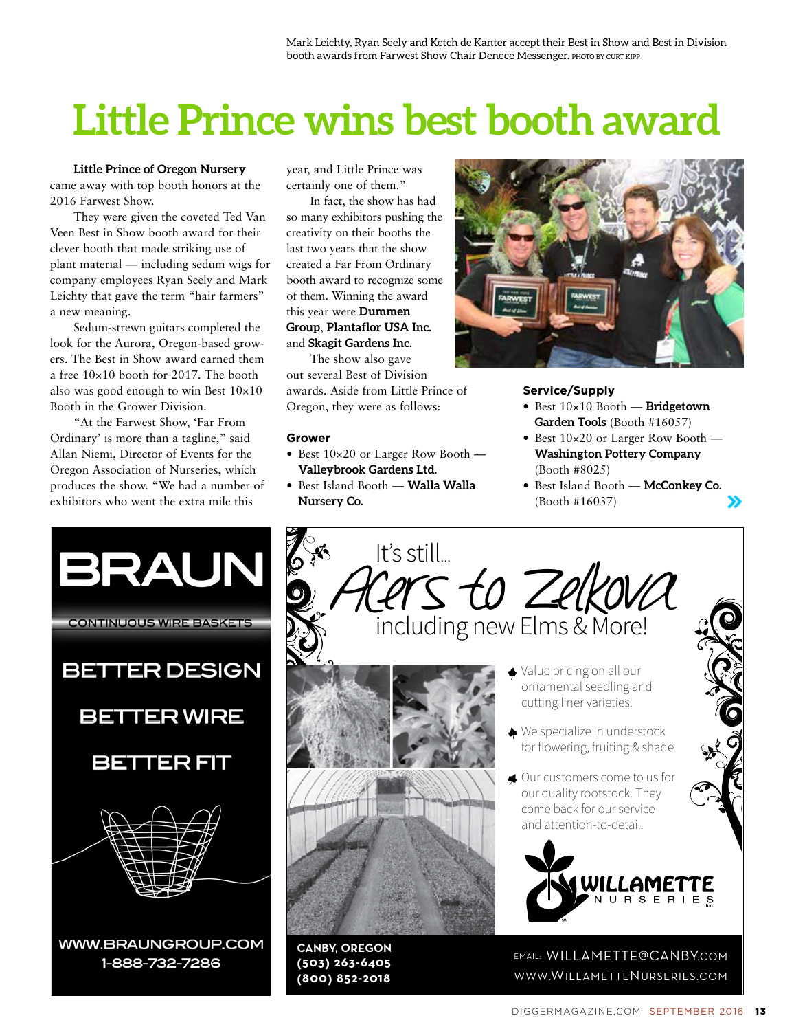# **Little Prince wins best booth award**

**Little Prince of Oregon Nursery** came away with top booth honors at the 2016 Farwest Show.

They were given the coveted Ted Van Veen Best in Show booth award for their clever booth that made striking use of plant material — including sedum wigs for company employees Ryan Seely and Mark Leichty that gave the term "hair farmers" a new meaning.

Sedum-strewn guitars completed the look for the Aurora, Oregon-based growers. The Best in Show award earned them a free 10×10 booth for 2017. The booth also was good enough to win Best 10×10 Booth in the Grower Division.

"At the Farwest Show, 'Far From Ordinary' is more than a tagline," said Allan Niemi, Director of Events for the Oregon Association of Nurseries, which produces the show. "We had a number of exhibitors who went the extra mile this

year, and Little Prince was certainly one of them."

In fact, the show has had so many exhibitors pushing the creativity on their booths the last two years that the show created a Far From Ordinary booth award to recognize some of them. Winning the award this year were **Dummen Group**, **Plantaflor USA Inc.**  and **Skagit Gardens Inc.**

The show also gave out several Best of Division awards. Aside from Little Prince of Oregon, they were as follows:

#### **Grower**

- Best 10×20 or Larger Row Booth **Valleybrook Gardens Ltd.**
- Best Island Booth **Walla Walla** Best Island **Nursery Co.**



#### **Service/Supply**

- Best 10×10 Booth **Bridgetown Garden Tools** (Booth #16057)
- Best  $10\times20$  or Larger Row Booth **Washington Pottery Company**  (Booth #8025)
- Best Island Booth **McConkey Co.**  (Booth #16037)



It's still... Acers to Zelkova including new Elms & More! ◆ Value pricing on all our ornamental seedling and cutting liner varieties. **★** We specialize in understock for flowering, fruiting & shade. ♦ Our customers come to us for our quality rootstock. They come back for our service and attention-to-detail. WILLAME' **NURSERIES** 

**CANBY, OREGON (503) 263-6405 (800) 852-2018** 



EMAIL: WILLAMETTE@CANBY.COM WWW.WILLAMETTENURSERIES.COM